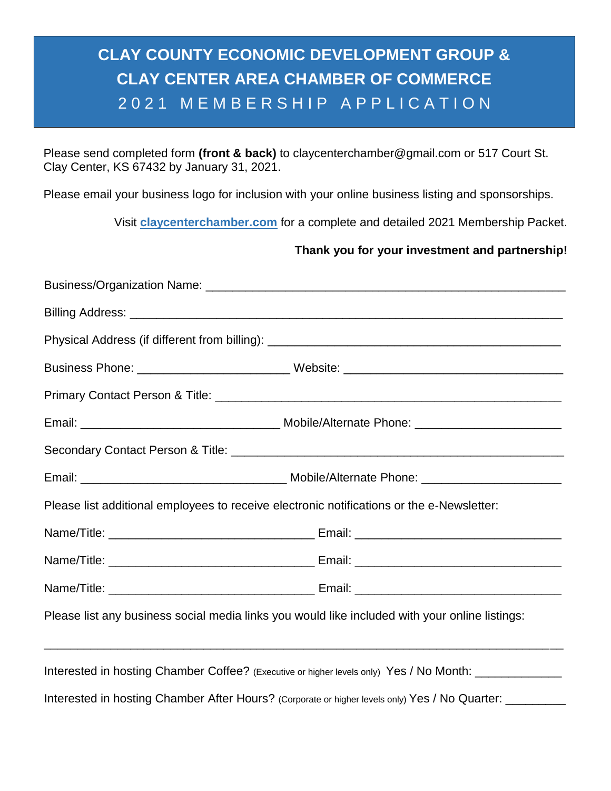## **CLAY COUNTY ECONOMIC DEVELOPMENT GROUP & CLAY CENTER AREA CHAMBER OF COMMERCE** 2021 MEMBERSHIP APPLICATION

Please send completed form **(front & back)** to claycenterchamber@gmail.com or 517 Court St. Clay Center, KS 67432 by January 31, 2021.

Please email your business logo for inclusion with your online business listing and sponsorships.

Visit **claycenterchamber.com** for a complete and detailed 2021 Membership Packet.

#### **Thank you for your investment and partnership!**

|                                                                                           | Business Phone: _____________________________Website: __________________________                         |  |  |  |  |
|-------------------------------------------------------------------------------------------|----------------------------------------------------------------------------------------------------------|--|--|--|--|
|                                                                                           |                                                                                                          |  |  |  |  |
|                                                                                           |                                                                                                          |  |  |  |  |
|                                                                                           |                                                                                                          |  |  |  |  |
|                                                                                           |                                                                                                          |  |  |  |  |
| Please list additional employees to receive electronic notifications or the e-Newsletter: |                                                                                                          |  |  |  |  |
|                                                                                           |                                                                                                          |  |  |  |  |
|                                                                                           |                                                                                                          |  |  |  |  |
|                                                                                           |                                                                                                          |  |  |  |  |
|                                                                                           | Please list any business social media links you would like included with your online listings:           |  |  |  |  |
|                                                                                           |                                                                                                          |  |  |  |  |
|                                                                                           | Interested in hosting Chamber Coffee? (Executive or higher levels only) Yes / No Month: ____________     |  |  |  |  |
|                                                                                           | Interested in hosting Chamber After Hours? (Corporate or higher levels only) Yes / No Quarter: _________ |  |  |  |  |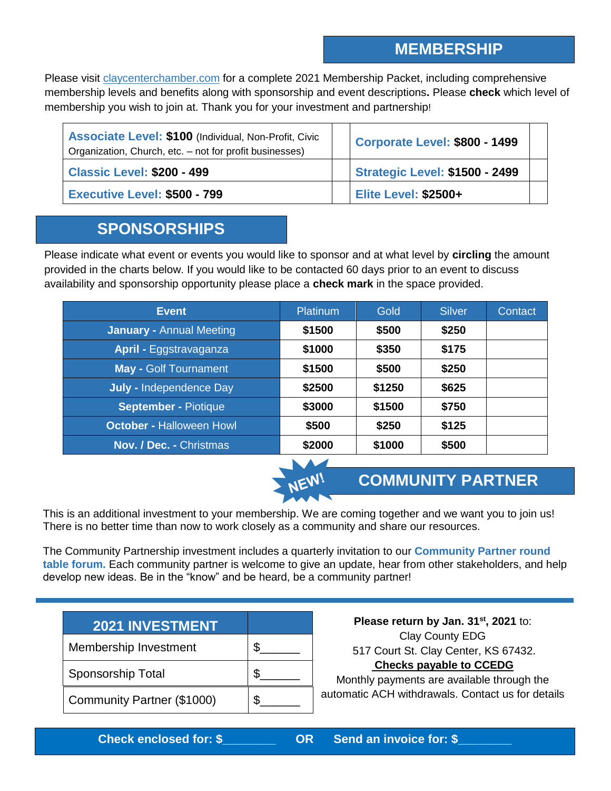### **MEMBERSHIP**

Please visit claycenterchamber.com for a complete 2021 Membership Packet, including comprehensive membership levels and benefits along with sponsorship and event descriptions**.** Please **check** which level of membership you wish to join at. Thank you for your investment and partnership!

| <b>Associate Level: \$100 (Individual, Non-Profit, Civic</b><br>Organization, Church, etc. - not for profit businesses) | Corporate Level: \$800 - 1499         |  |
|-------------------------------------------------------------------------------------------------------------------------|---------------------------------------|--|
| <b>Classic Level: \$200 - 499</b>                                                                                       | <b>Strategic Level: \$1500 - 2499</b> |  |
| <b>Executive Level: \$500 - 799</b>                                                                                     | <b>Elite Level: \$2500+</b>           |  |

#### **SPONSORSHIPS**

Please indicate what event or events you would like to sponsor and at what level by **circling** the amount provided in the charts below. If you would like to be contacted 60 days prior to an event to discuss availability and sponsorship opportunity please place a **check mark** in the space provided.

| <b>Event</b>                    | <b>Platinum</b> | Gold   | Silver | Contact |
|---------------------------------|-----------------|--------|--------|---------|
| <b>January - Annual Meeting</b> | \$1500          | \$500  | \$250  |         |
| <b>April - Eggstravaganza</b>   | \$1000          | \$350  | \$175  |         |
| <b>May - Golf Tournament</b>    | \$1500          | \$500  | \$250  |         |
| <b>July - Independence Day</b>  | \$2500          | \$1250 | \$625  |         |
| <b>September - Piotique</b>     | \$3000          | \$1500 | \$750  |         |
| <b>October - Halloween Howl</b> | \$500           | \$250  | \$125  |         |
| <b>Nov. / Dec. - Christmas</b>  | \$2000          | \$1000 | \$500  |         |



#### **COMMUNITY PARTNER**

This is an additional investment to your membership. We are coming together and we want you to join us! There is no better time than now to work closely as a community and share our resources.

The Community Partnership investment includes a quarterly invitation to our **Community Partner round table forum.** Each community partner is welcome to give an update, hear from other stakeholders, and help develop new ideas. Be in the "know" and be heard, be a community partner!

| <b>2021 INVESTMENT</b>     |  |
|----------------------------|--|
| Membership Investment      |  |
| Sponsorship Total          |  |
| Community Partner (\$1000) |  |

**Please return by Jan. 31st, 2021** to: Clay County EDG 517 Court St. Clay Center, KS 67432. **Checks payable to CCEDG**

Monthly payments are available through the automatic ACH withdrawals. Contact us for details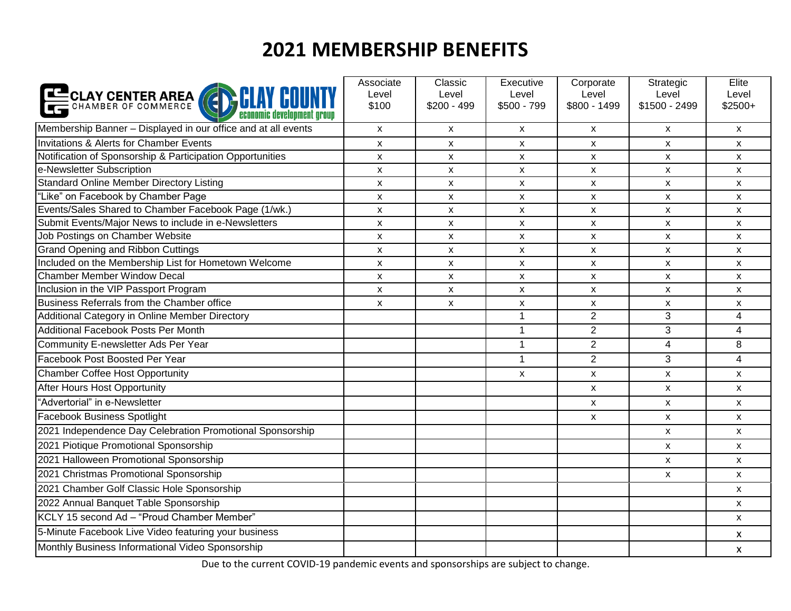# **2021 MEMBERSHIP BENEFITS**

| CLAY CENTER AREA (CHAN CO                                     | Associate<br>Level<br>\$100 | Classic<br>Level<br>$$200 - 499$ | Executive<br>Level<br>$$500 - 799$ | Corporate<br>Level<br>$$800 - 1499$ | Strategic<br>Level<br>\$1500 - 2499 | Elite<br>Level<br>$$2500+$ |
|---------------------------------------------------------------|-----------------------------|----------------------------------|------------------------------------|-------------------------------------|-------------------------------------|----------------------------|
| Membership Banner - Displayed in our office and at all events | X                           | X                                | $\boldsymbol{\mathsf{x}}$          | $\mathsf{x}$                        | X                                   | $\mathsf{x}$               |
| Invitations & Alerts for Chamber Events                       | X                           | $\mathsf{x}$                     | $\mathsf{x}$                       | $\mathsf{X}$                        | X                                   | $\mathsf{x}$               |
| Notification of Sponsorship & Participation Opportunities     | X                           | $\pmb{\mathsf{X}}$               | $\boldsymbol{\mathsf{x}}$          | X                                   | $\pmb{\mathsf{X}}$                  | $\boldsymbol{\mathsf{x}}$  |
| e-Newsletter Subscription                                     | X                           | X                                | $\boldsymbol{\mathsf{x}}$          | X                                   | X                                   | X                          |
| <b>Standard Online Member Directory Listing</b>               | X                           | $\pmb{\mathsf{X}}$               | $\boldsymbol{\mathsf{x}}$          | X                                   | $\pmb{\mathsf{X}}$                  | X                          |
| "Like" on Facebook by Chamber Page                            | X                           | X                                | $\boldsymbol{\mathsf{x}}$          | X                                   | X                                   | X                          |
| Events/Sales Shared to Chamber Facebook Page (1/wk.)          | X                           | X                                | $\pmb{\times}$                     | X                                   | $\mathsf{x}$                        | $\pmb{\mathsf{x}}$         |
| Submit Events/Major News to include in e-Newsletters          | X                           | X                                | X                                  | X                                   | $\mathsf{x}$                        | X                          |
| Job Postings on Chamber Website                               | X                           | $\pmb{\mathsf{X}}$               | $\boldsymbol{\mathsf{x}}$          | X                                   | $\pmb{\mathsf{X}}$                  | $\boldsymbol{\mathsf{x}}$  |
| <b>Grand Opening and Ribbon Cuttings</b>                      | X                           | $\mathsf{x}$                     | $\boldsymbol{\mathsf{x}}$          | $\mathsf{X}$                        | $\mathsf{x}$                        | $\boldsymbol{\mathsf{x}}$  |
| Included on the Membership List for Hometown Welcome          | X                           | X                                | $\boldsymbol{\mathsf{x}}$          | X                                   | $\mathsf{x}$                        | $\boldsymbol{\mathsf{x}}$  |
| <b>Chamber Member Window Decal</b>                            | X                           | $\mathsf{x}$                     | X                                  | $\mathsf{x}$                        | $\mathsf{x}$                        | X                          |
| Inclusion in the VIP Passport Program                         | X                           | X                                | X                                  | X                                   | X                                   | X                          |
| Business Referrals from the Chamber office                    | X                           | $\mathsf{x}$                     | $\boldsymbol{\mathsf{x}}$          | X                                   | X                                   | X                          |
| Additional Category in Online Member Directory                |                             |                                  | $\mathbf{1}$                       | $\overline{2}$                      | 3                                   | $\overline{4}$             |
| Additional Facebook Posts Per Month                           |                             |                                  | $\mathbf{1}$                       | $\overline{2}$                      | 3                                   | $\overline{4}$             |
| Community E-newsletter Ads Per Year                           |                             |                                  | $\mathbf{1}$                       | $\overline{2}$                      | 4                                   | 8                          |
| Facebook Post Boosted Per Year                                |                             |                                  | $\mathbf{1}$                       | $\overline{2}$                      | 3                                   | $\overline{\mathbf{4}}$    |
| Chamber Coffee Host Opportunity                               |                             |                                  | $\mathsf{x}$                       | X                                   | X                                   | $\mathsf{x}$               |
| After Hours Host Opportunity                                  |                             |                                  |                                    | X                                   | X                                   | X                          |
| "Advertorial" in e-Newsletter                                 |                             |                                  |                                    | X                                   | X                                   | X                          |
| <b>Facebook Business Spotlight</b>                            |                             |                                  |                                    | X                                   | X                                   | $\boldsymbol{\mathsf{x}}$  |
| 2021 Independence Day Celebration Promotional Sponsorship     |                             |                                  |                                    |                                     | X                                   | X                          |
| 2021 Piotique Promotional Sponsorship                         |                             |                                  |                                    |                                     | X                                   | $\mathsf{x}$               |
| 2021 Halloween Promotional Sponsorship                        |                             |                                  |                                    |                                     | X                                   | $\mathsf{x}$               |
| 2021 Christmas Promotional Sponsorship                        |                             |                                  |                                    |                                     | X                                   | $\mathsf{x}$               |
| 2021 Chamber Golf Classic Hole Sponsorship                    |                             |                                  |                                    |                                     |                                     | X                          |
| 2022 Annual Banquet Table Sponsorship                         |                             |                                  |                                    |                                     |                                     | X                          |
| KCLY 15 second Ad - "Proud Chamber Member"                    |                             |                                  |                                    |                                     |                                     | $\mathsf{x}$               |
| 5-Minute Facebook Live Video featuring your business          |                             |                                  |                                    |                                     |                                     | X                          |
| Monthly Business Informational Video Sponsorship              |                             |                                  |                                    |                                     |                                     | $\pmb{\times}$             |

Due to the current COVID-19 pandemic events and sponsorships are subject to change.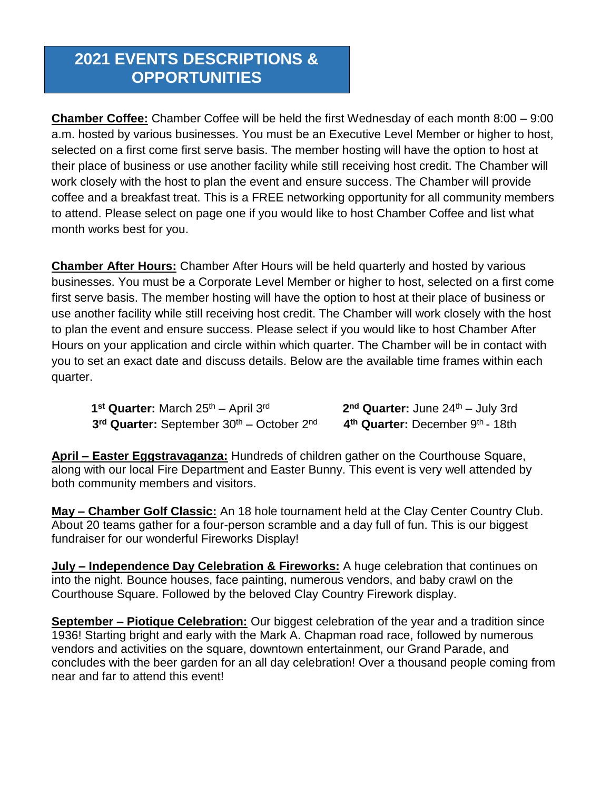### **2021 EVENTS DESCRIPTIONS & OPPORTUNITIES**

**Chamber Coffee:** Chamber Coffee will be held the first Wednesday of each month 8:00 – 9:00 a.m. hosted by various businesses. You must be an Executive Level Member or higher to host, selected on a first come first serve basis. The member hosting will have the option to host at their place of business or use another facility while still receiving host credit. The Chamber will work closely with the host to plan the event and ensure success. The Chamber will provide coffee and a breakfast treat. This is a FREE networking opportunity for all community members to attend. Please select on page one if you would like to host Chamber Coffee and list what month works best for you.

**Chamber After Hours:** Chamber After Hours will be held quarterly and hosted by various businesses. You must be a Corporate Level Member or higher to host, selected on a first come first serve basis. The member hosting will have the option to host at their place of business or use another facility while still receiving host credit. The Chamber will work closely with the host to plan the event and ensure success. Please select if you would like to host Chamber After Hours on your application and circle within which quarter. The Chamber will be in contact with you to set an exact date and discuss details. Below are the available time frames within each quarter.

**1**<sup>st</sup> Quarter: March 25<sup>th</sup> – April 3<sup>rd</sup> 2 3<sup>rd</sup> Quarter: September 30<sup>th</sup> – October 2<sup>nd</sup> 4<sup>th</sup> Quarter: December 9<sup>th</sup> - 18th

2<sup>nd</sup> Quarter: June 24<sup>th</sup> – July 3rd

**April – Easter Eggstravaganza:** Hundreds of children gather on the Courthouse Square, along with our local Fire Department and Easter Bunny. This event is very well attended by both community members and visitors.

**May – Chamber Golf Classic:** An 18 hole tournament held at the Clay Center Country Club. About 20 teams gather for a four-person scramble and a day full of fun. This is our biggest fundraiser for our wonderful Fireworks Display!

**July – Independence Day Celebration & Fireworks:** A huge celebration that continues on into the night. Bounce houses, face painting, numerous vendors, and baby crawl on the Courthouse Square. Followed by the beloved Clay Country Firework display.

**September – Piotique Celebration:** Our biggest celebration of the year and a tradition since 1936! Starting bright and early with the Mark A. Chapman road race, followed by numerous vendors and activities on the square, downtown entertainment, our Grand Parade, and concludes with the beer garden for an all day celebration! Over a thousand people coming from near and far to attend this event!